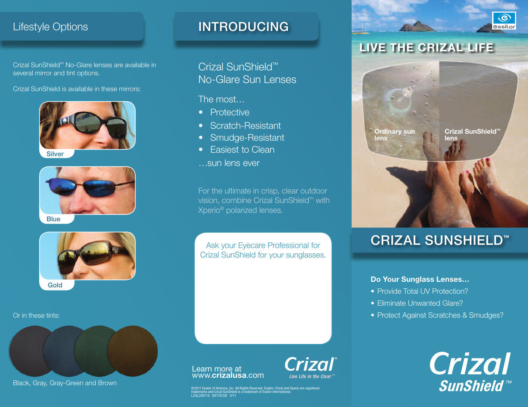## Lifestyle Options

Crizal SunShield™ No-Glare lenses are available in several mirror and tint options.

Crizal SunShield is available in these mirrors:



**Silver** 



**Blue** 



Or in these tints:



Black, Gray, Gray-Green and Brown

# INTRODUCING

Crizal SunShield<sup>™</sup> No-Glare Sun Lenses

The most…

- Protective
- Scratch-Resistant
- Smudge-Resistant
- Easiest to Clean
- …sun lens ever

For the ultimate in crisp, clear outdoor vision, combine Crizal SunShield™ with Xperio® polarized lenses.

Ask your Eyecare Professional for Crizal SunShield for your sunglasses.

# LIVE THE CRIZAL<sup>®</sup> LIFE

**Ordinary sun lens**

**Crizal SunShield™ lens**

 $\odot$ **essilor** 

# crizal sunshield**™**

### **Do Your Sunglass Lenses…**

- Provide Total UV Protection?
- Eliminate Unwanted Glare?
- Protect Against Scratches & Smudges?

**Crizal SunShield™** 

### Learn more at www.**crizalusa**.com

**Crizal Live Life in the Clear** 

©2011 Essilor of America, Inc. All Rights Reserved. Essilor, Crizal and Xperio are registered.<br>trademarks and Crizal SunShield is a trademark of Essilor International.<br>LZAL200714 BST/ECSD 4/11